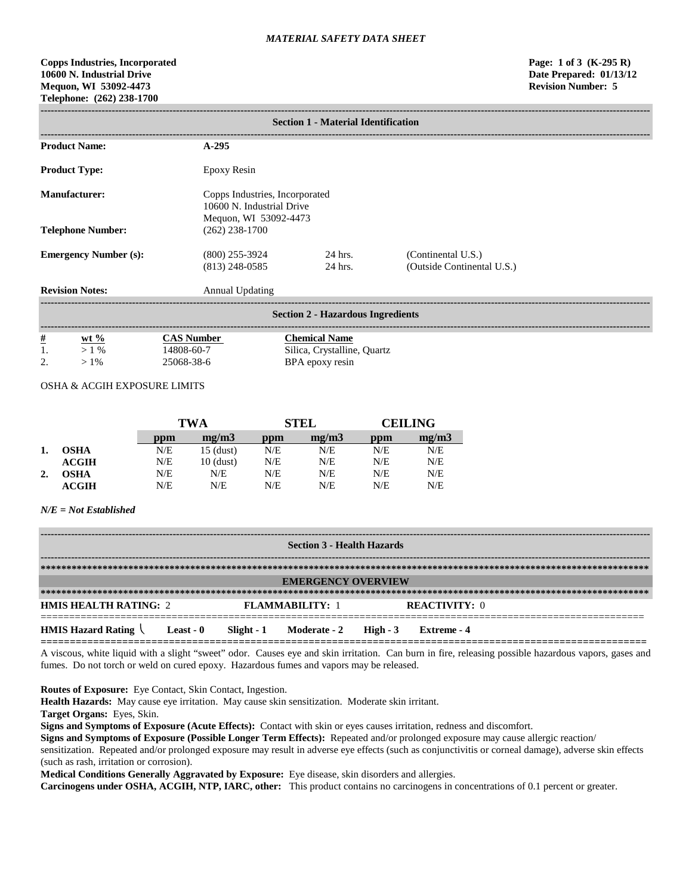# **Copps Industries, Incorporated Page: 1 of 3 (K-295 R) 10600 N. Industrial Drive Date Prepared: 01/13/12 Mequon, WI 53092-4473 Revision Number: 5 Telephone: (262) 238-1700**

|                              | <b>Section 1 - Material Identification</b> |                                               |                                                                                      |                                                  |  |  |  |
|------------------------------|--------------------------------------------|-----------------------------------------------|--------------------------------------------------------------------------------------|--------------------------------------------------|--|--|--|
|                              | <b>Product Name:</b>                       | $A-295$                                       |                                                                                      |                                                  |  |  |  |
| <b>Product Type:</b>         |                                            | Epoxy Resin                                   |                                                                                      |                                                  |  |  |  |
| <b>Manufacturer:</b>         |                                            |                                               | Copps Industries, Incorporated<br>10600 N. Industrial Drive<br>Mequon, WI 53092-4473 |                                                  |  |  |  |
|                              | <b>Telephone Number:</b>                   | $(262)$ 238-1700                              |                                                                                      |                                                  |  |  |  |
| <b>Emergency Number (s):</b> |                                            | $(800)$ 255-3924<br>$(813)$ 248-0585          | 24 hrs.<br>24 hrs.                                                                   | (Continental U.S.)<br>(Outside Continental U.S.) |  |  |  |
|                              | <b>Revision Notes:</b>                     | <b>Annual Updating</b>                        |                                                                                      |                                                  |  |  |  |
|                              | <b>Section 2 - Hazardous Ingredients</b>   |                                               |                                                                                      |                                                  |  |  |  |
| $\frac{\#}{1}$<br>2.         | wt $%$<br>$> 1\%$<br>$>1\%$                | <b>CAS Number</b><br>14808-60-7<br>25068-38-6 | <b>Chemical Name</b><br>Silica, Crystalline, Quartz<br>BPA epoxy resin               |                                                  |  |  |  |

# OSHA & ACGIH EXPOSURE LIMITS

|    |              | TWA |             | STEL |       | CEIL ING |       |
|----|--------------|-----|-------------|------|-------|----------|-------|
|    |              | ppm | mg/m3       | ppm  | me/m3 | ppm      | mg/m3 |
|    | <b>OSHA</b>  | N/E | $15$ (dust) | N/E  | N/E   | N/E      | N/E   |
|    | ACGIH        | N/E | $10$ (dust) | N/E  | N/E   | N/E      | N/E   |
| 2. | OSHA         | N/E | N/E         | N/E  | N/E   | N/E      | N/E   |
|    | <b>ACGIH</b> | N/E | N/E         | N/E  | N/E   | N/E      | N/E   |

# *N/E = Not Established*

| <b>Section 3 - Health Hazards</b>                                                                             |                           |  |                        |  |                      |  |  |
|---------------------------------------------------------------------------------------------------------------|---------------------------|--|------------------------|--|----------------------|--|--|
|                                                                                                               |                           |  |                        |  |                      |  |  |
|                                                                                                               | <b>EMERGENCY OVERVIEW</b> |  |                        |  |                      |  |  |
|                                                                                                               |                           |  |                        |  |                      |  |  |
| <b>HMIS HEALTH RATING: 2</b>                                                                                  |                           |  | <b>FLAMMARILITY: 1</b> |  | <b>REACTIVITY: 0</b> |  |  |
| <b>HMIS Hazard Rating <math>\setminus</math> Least - 0</b><br>Slight - 1 Moderate - 2 High - 3<br>Extreme - 4 |                           |  |                        |  |                      |  |  |

A viscous, white liquid with a slight "sweet" odor. Causes eye and skin irritation. Can burn in fire, releasing possible hazardous vapors, gases and fumes. Do not torch or weld on cured epoxy. Hazardous fumes and vapors may be released.

**Routes of Exposure:** Eye Contact, Skin Contact, Ingestion.

**Health Hazards:** May cause eye irritation. May cause skin sensitization. Moderate skin irritant.

**Target Organs:** Eyes, Skin.

**Signs and Symptoms of Exposure (Acute Effects):** Contact with skin or eyes causes irritation, redness and discomfort.

**Signs and Symptoms of Exposure (Possible Longer Term Effects):** Repeated and/or prolonged exposure may cause allergic reaction/

sensitization. Repeated and/or prolonged exposure may result in adverse eye effects (such as conjunctivitis or corneal damage), adverse skin effects (such as rash, irritation or corrosion).

**Medical Conditions Generally Aggravated by Exposure:** Eye disease, skin disorders and allergies.

**Carcinogens under OSHA, ACGIH, NTP, IARC, other:** This product contains no carcinogens in concentrations of 0.1 percent or greater.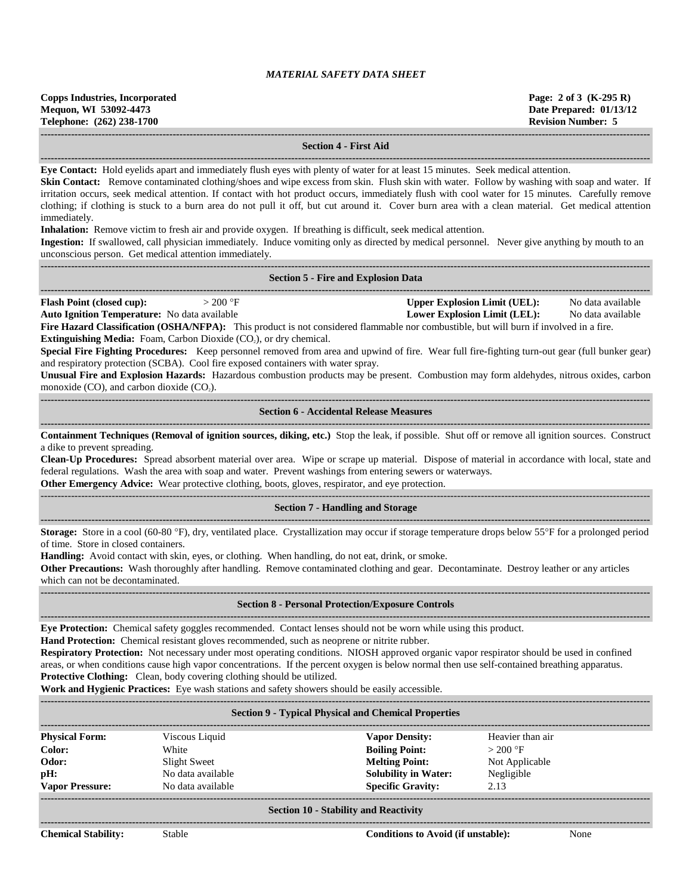| <b>Copps Industries, Incorporated</b><br>Mequon, WI 53092-4473 | Page: 2 of 3 $(K-295 R)$<br>Date Prepared: 01/13/12 |
|----------------------------------------------------------------|-----------------------------------------------------|
| Telephone: (262) 238-1700                                      | <b>Revision Number: 5</b>                           |
|                                                                |                                                     |

#### **Section 4 - First Aid**

**------------------------------------------------------------------------------------------------------------------------------------------------------------------------------------ Eye Contact:** Hold eyelids apart and immediately flush eyes with plenty of water for at least 15 minutes. Seek medical attention.

**Skin Contact:** Remove contaminated clothing/shoes and wipe excess from skin. Flush skin with water. Follow by washing with soap and water. If irritation occurs, seek medical attention. If contact with hot product occurs, immediately flush with cool water for 15 minutes. Carefully remove clothing; if clothing is stuck to a burn area do not pull it off, but cut around it. Cover burn area with a clean material. Get medical attention immediately.

**Inhalation:** Remove victim to fresh air and provide oxygen. If breathing is difficult, seek medical attention.

**Ingestion:** If swallowed, call physician immediately. Induce vomiting only as directed by medical personnel. Never give anything by mouth to an unconscious person. Get medical attention immediately.

|                                                     |           | <b>Section 5 - Fire and Explosion Data</b> |                   |
|-----------------------------------------------------|-----------|--------------------------------------------|-------------------|
| <b>Flash Point (closed cup):</b>                    | $>200$ °F | <b>Upper Explosion Limit (UEL):</b>        | No data available |
| <b>Auto Ignition Temperature:</b> No data available |           | Lower Explosion Limit (LEL):               | No data available |

**Fire Hazard Classification (OSHA/NFPA):** This product is not considered flammable nor combustible, but will burn if involved in a fire. **Extinguishing Media:** Foam, Carbon Dioxide (CO<sub>2</sub>), or dry chemical.

**Special Fire Fighting Procedures:** Keep personnel removed from area and upwind of fire. Wear full fire-fighting turn-out gear (full bunker gear) and respiratory protection (SCBA). Cool fire exposed containers with water spray.

**Unusual Fire and Explosion Hazards:** Hazardous combustion products may be present. Combustion may form aldehydes, nitrous oxides, carbon monoxide  $(CO)$ , and carbon dioxide  $(CO<sub>2</sub>)$ . **------------------------------------------------------------------------------------------------------------------------------------------------------------------------------------**

# **Section 6 - Accidental Release Measures ------------------------------------------------------------------------------------------------------------------------------------------------------------------------------------**

**Containment Techniques (Removal of ignition sources, diking, etc.)** Stop the leak, if possible. Shut off or remove all ignition sources. Construct a dike to prevent spreading.

**Clean-Up Procedures:** Spread absorbent material over area. Wipe or scrape up material. Dispose of material in accordance with local, state and federal regulations. Wash the area with soap and water. Prevent washings from entering sewers or waterways.

**Other Emergency Advice:** Wear protective clothing, boots, gloves, respirator, and eye protection.

# ------------------------------------------------------------------------------------------------------------------------------------------------------------------------------------ **Section 7 - Handling and Storage ------------------------------------------------------------------------------------------------------------------------------------------------------------------------------------**

**Storage:** Store in a cool (60-80 °F), dry, ventilated place. Crystallization may occur if storage temperature drops below 55°F for a prolonged period of time. Store in closed containers.

**Handling:** Avoid contact with skin, eyes, or clothing. When handling, do not eat, drink, or smoke.

**Other Precautions:** Wash thoroughly after handling. Remove contaminated clothing and gear. Decontaminate. Destroy leather or any articles which can not be decontaminated.

#### **------------------------------------------------------------------------------------------------------------------------------------------------------------------------------------ Section 8 - Personal Protection/Exposure Controls**

**------------------------------------------------------------------------------------------------------------------------------------------------------------------------------------**

**Eye Protection:** Chemical safety goggles recommended. Contact lenses should not be worn while using this product.

**Hand Protection:** Chemical resistant gloves recommended, such as neoprene or nitrite rubber.

**Respiratory Protection:** Not necessary under most operating conditions. NIOSH approved organic vapor respirator should be used in confined areas, or when conditions cause high vapor concentrations. If the percent oxygen is below normal then use self-contained breathing apparatus. **Protective Clothing:** Clean, body covering clothing should be utilized.

**Work and Hygienic Practices:** Eye wash stations and safety showers should be easily accessible.

| <b>Section 9 - Typical Physical and Chemical Properties</b> |                   |                             |                  |  |  |  |
|-------------------------------------------------------------|-------------------|-----------------------------|------------------|--|--|--|
| <b>Physical Form:</b>                                       | Viscous Liquid    | <b>Vapor Density:</b>       | Heavier than air |  |  |  |
| Color:                                                      | White             | <b>Boiling Point:</b>       | $>200$ °F        |  |  |  |
| Odor:                                                       | Slight Sweet      | <b>Melting Point:</b>       | Not Applicable   |  |  |  |
| pH:                                                         | No data available | <b>Solubility in Water:</b> | Negligible       |  |  |  |
| <b>Vapor Pressure:</b>                                      | No data available | <b>Specific Gravity:</b>    | 2.13             |  |  |  |
| Section 10 - Stability and Reactivity                       |                   |                             |                  |  |  |  |

#### **Section 10 - Stability and Reactivity ------------------------------------------------------------------------------------------------------------------------------------------------------------------------------------**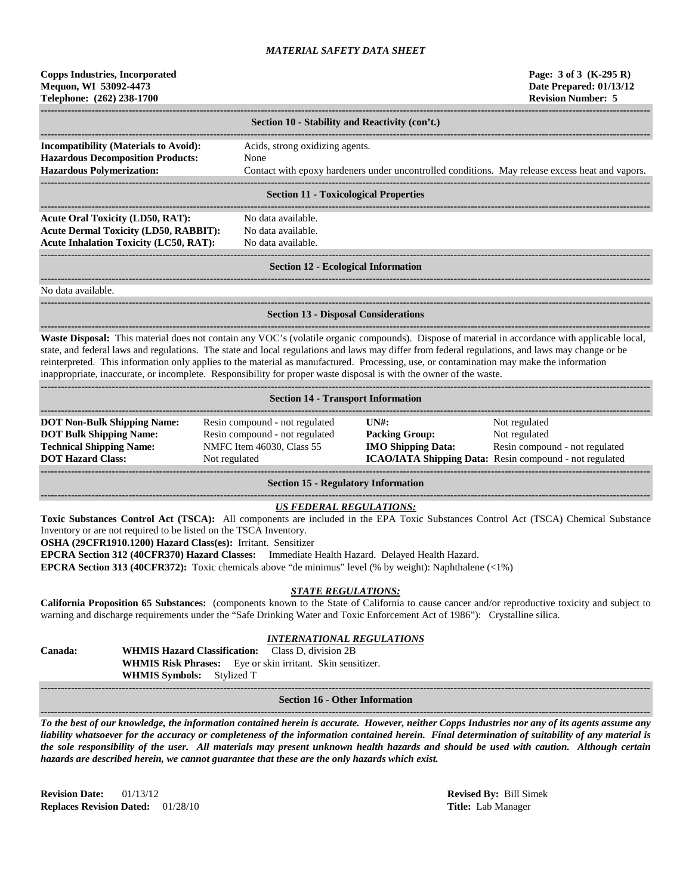| Copps Industries, Incorporated |
|--------------------------------|
| Mequon, WI 53092-4473          |
| Telephone: (262) 238-1700      |

| Section 10 - Stability and Reactivity (con't.)                                           |                                                                                                 |  |  |  |  |
|------------------------------------------------------------------------------------------|-------------------------------------------------------------------------------------------------|--|--|--|--|
| <b>Incompatibility (Materials to Avoid):</b><br><b>Hazardous Decomposition Products:</b> | Acids, strong oxidizing agents.<br>None                                                         |  |  |  |  |
| <b>Hazardous Polymerization:</b>                                                         | Contact with epoxy hardeners under uncontrolled conditions. May release excess heat and vapors. |  |  |  |  |
|                                                                                          | <b>Costion 11 Tovicological Properties</b>                                                      |  |  |  |  |

#### **Section 11 - Toxicological Properties**

**------------------------------------------------------------------------------------------------------------------------------------------------------------------------------------** Acute Oral Toxicity (LD50, RAT): No data available. **Acute Dermal Toxicity (LD50, RABBIT):** No data available. Acute Inhalation Toxicity (LC50, RAT): No data available.

**------------------------------------------------------------------------------------------------------------------------------------------------------------------------------------**

# ------------------------------------------------------------------------------------------------------------------------------------------------------------------------------------

#### **Section 12 - Ecological Information**

**------------------------------------------------------------------------------------------------------------------------------------------------------------------------------------**

**------------------------------------------------------------------------------------------------------------------------------------------------------------------------------------**

No data available.

# **Section 13 - Disposal Considerations**

**------------------------------------------------------------------------------------------------------------------------------------------------------------------------------------ Waste Disposal:** This material does not contain any VOC's (volatile organic compounds). Dispose of material in accordance with applicable local, state, and federal laws and regulations. The state and local regulations and laws may differ from federal regulations, and laws may change or be reinterpreted. This information only applies to the material as manufactured. Processing, use, or contamination may make the information inappropriate, inaccurate, or incomplete. Responsibility for proper waste disposal is with the owner of the waste.

| <b>Section 14 - Transport Information</b>                                                                                           |                                                                                                                |                                                                                                      |                                                                                                                             |  |  |  |  |
|-------------------------------------------------------------------------------------------------------------------------------------|----------------------------------------------------------------------------------------------------------------|------------------------------------------------------------------------------------------------------|-----------------------------------------------------------------------------------------------------------------------------|--|--|--|--|
| <b>DOT Non-Bulk Shipping Name:</b><br><b>DOT Bulk Shipping Name:</b><br><b>Technical Shipping Name:</b><br><b>DOT Hazard Class:</b> | Resin compound - not regulated<br>Resin compound - not regulated<br>NMFC Item 46030, Class 55<br>Not regulated | $\overline{I}$ $\overline{N}$ $\overline{H}$ :<br><b>Packing Group:</b><br><b>IMO Shipping Data:</b> | Not regulated<br>Not regulated<br>Resin compound - not regulated<br>ICAO/IATA Shipping Data: Resin compound - not regulated |  |  |  |  |

**Section 15 - Regulatory Information**

# *US FEDERAL REGULATIONS:*

**Toxic Substances Control Act (TSCA):** All components are included in the EPA Toxic Substances Control Act (TSCA) Chemical Substance Inventory or are not required to be listed on the TSCA Inventory.

**OSHA (29CFR1910.1200) Hazard Class(es):** Irritant. Sensitizer

**EPCRA Section 312 (40CFR370) Hazard Classes:** Immediate Health Hazard. Delayed Health Hazard.

**EPCRA Section 313 (40CFR372):** Toxic chemicals above "de minimus" level (% by weight): Naphthalene (<1%)

## *STATE REGULATIONS:*

**California Proposition 65 Substances:** (components known to the State of California to cause cancer and/or reproductive toxicity and subject to warning and discharge requirements under the "Safe Drinking Water and Toxic Enforcement Act of 1986"): Crystalline silica.

# *INTERNATIONAL REGULATIONS*

**Canada: WHMIS Hazard Classification:** Class D, division 2B **WHMIS Risk Phrases:** Eye or skin irritant. Skin sensitizer. **WHMIS Symbols:** Stylized T

#### **------------------------------------------------------------------------------------------------------------------------------------------------------------------------------------ Section 16 - Other Information**

**------------------------------------------------------------------------------------------------------------------------------------------------------------------------------------** *To the best of our knowledge, the information contained herein is accurate. However, neither Copps Industries nor any of its agents assume any liability whatsoever for the accuracy or completeness of the information contained herein. Final determination of suitability of any material is the sole responsibility of the user. All materials may present unknown health hazards and should be used with caution. Although certain hazards are described herein, we cannot guarantee that these are the only hazards which exist.*

**Revision Date:** 01/13/12 **Revised By:** Bill Simek **Replaces Revision Dated:** 01/28/10 **Title:** Lab Manager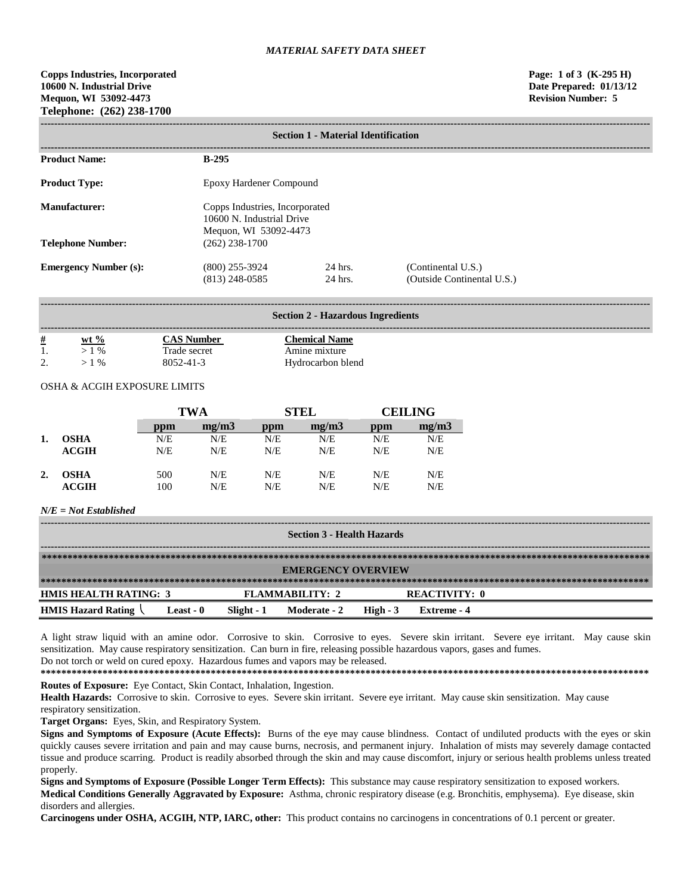| <b>Section 1 - Material Identification</b> |                                                                                      |                    |                                                  |  |  |  |
|--------------------------------------------|--------------------------------------------------------------------------------------|--------------------|--------------------------------------------------|--|--|--|
| <b>Product Name:</b>                       | $B-295$                                                                              |                    |                                                  |  |  |  |
| <b>Product Type:</b>                       | Epoxy Hardener Compound                                                              |                    |                                                  |  |  |  |
| Manufacturer:                              | Copps Industries, Incorporated<br>10600 N. Industrial Drive<br>Mequon, WI 53092-4473 |                    |                                                  |  |  |  |
| <b>Telephone Number:</b>                   | $(262)$ 238-1700                                                                     |                    |                                                  |  |  |  |
| <b>Emergency Number (s):</b>               | $(800)$ 255-3924<br>$(813)$ 248-0585                                                 | 24 hrs.<br>24 hrs. | (Continental U.S.)<br>(Outside Continental U.S.) |  |  |  |

| <b>Section 2 - Hazardous Ingredients</b> |         |                   |                      |  |  |  |  |
|------------------------------------------|---------|-------------------|----------------------|--|--|--|--|
| <u>#</u>                                 | wt $\%$ | <b>CAS Number</b> | <b>Chemical Name</b> |  |  |  |  |
|                                          | $>1\%$  | Trade secret      | Amine mixture        |  |  |  |  |
| $\gamma$                                 | $>1\%$  | 8052-41-3         | Hydrocarbon blend    |  |  |  |  |

# OSHA & ACGIH EXPOSURE LIMITS

|    |             | <b>TWA</b> |       | <b>STEL</b> |       | <b>CEILING</b> |       |
|----|-------------|------------|-------|-------------|-------|----------------|-------|
|    |             | ppm        | mg/m3 | ppm         | mg/m3 | ppm            | mg/m3 |
| 1. | <b>OSHA</b> | N/E        | N/E   | N/E         | N/E   | N/E            | N/E   |
|    | ACGIH       | N/E        | N/E   | N/E         | N/E   | N/E            | N/E   |
| 2. | <b>OSHA</b> | 500        | N/E   | N/E         | N/E   | N/E            | N/E   |
|    | ACGIH       | 100        | N/E   | N/E         | N/E   | N/E            | N/E   |

# *N/E = Not Established*

| <b>Section 3 - Health Hazards</b> |           |            |                 |           |               |  |
|-----------------------------------|-----------|------------|-----------------|-----------|---------------|--|
|                                   |           |            |                 |           |               |  |
| <b>EMERGENCY OVERVIEW</b>         |           |            |                 |           |               |  |
|                                   |           |            |                 |           |               |  |
| <b>HMIS HEALTH RATING: 3</b>      |           |            | FLAMMARILITY: 2 |           | REACTIVITY: 0 |  |
| <b>HMIS Hazard Rating</b>         | Least - 0 | Slight - 1 | Moderate - 2    | High $-3$ | Extreme - 4   |  |

A light straw liquid with an amine odor. Corrosive to skin. Corrosive to eyes. Severe skin irritant. Severe eye irritant. May cause skin sensitization. May cause respiratory sensitization. Can burn in fire, releasing possible hazardous vapors, gases and fumes. Do not torch or weld on cured epoxy. Hazardous fumes and vapors may be released.

**\*\*\*\*\*\*\*\*\*\*\*\*\*\*\*\*\*\*\*\*\*\*\*\*\*\*\*\*\*\*\*\*\*\*\*\*\*\*\*\*\*\*\*\*\*\*\*\*\*\*\*\*\*\*\*\*\*\*\*\*\*\*\*\*\*\*\*\*\*\*\*\*\*\*\*\*\*\*\*\*\*\*\*\*\*\*\*\*\*\*\*\*\*\*\*\*\*\*\*\*\*\*\*\*\*\*\*\*\*\*\*\*\*\*\*\*\*\* Routes of Exposure:** Eye Contact, Skin Contact, Inhalation, Ingestion.

Health Hazards: Corrosive to skin. Corrosive to eyes. Severe skin irritant. Severe eye irritant. May cause skin sensitization. May cause respiratory sensitization.

**Target Organs:** Eyes, Skin, and Respiratory System.

**Signs and Symptoms of Exposure (Acute Effects):** Burns of the eye may cause blindness. Contact of undiluted products with the eyes or skin quickly causes severe irritation and pain and may cause burns, necrosis, and permanent injury. Inhalation of mists may severely damage contacted tissue and produce scarring. Product is readily absorbed through the skin and may cause discomfort, injury or serious health problems unless treated properly.

**Signs and Symptoms of Exposure (Possible Longer Term Effects):** This substance may cause respiratory sensitization to exposed workers. **Medical Conditions Generally Aggravated by Exposure:** Asthma, chronic respiratory disease (e.g. Bronchitis, emphysema). Eye disease, skin disorders and allergies.

**Carcinogens under OSHA, ACGIH, NTP, IARC, other:** This product contains no carcinogens in concentrations of 0.1 percent or greater.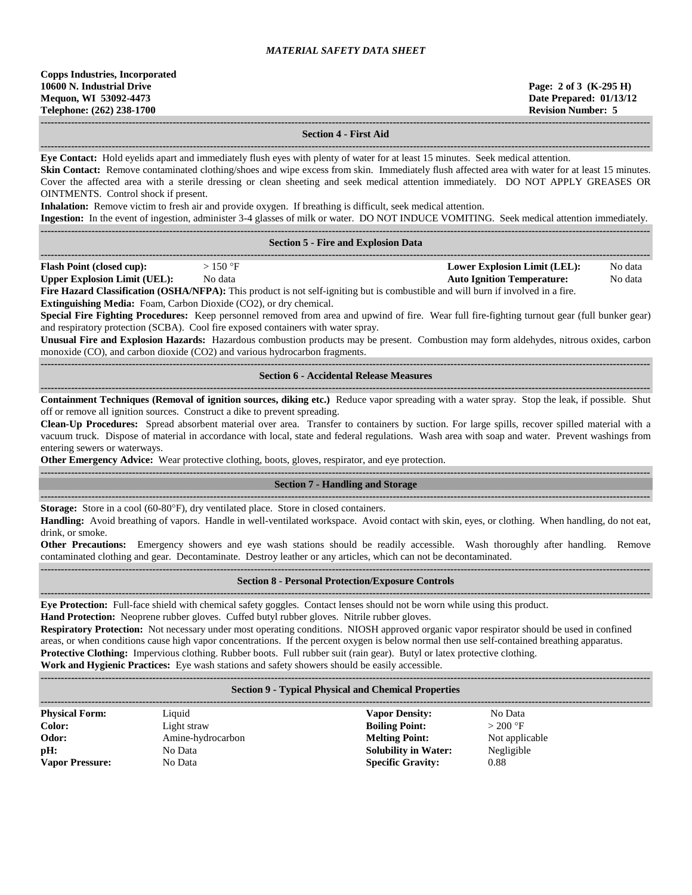#### **Section 4 - First Aid**

**------------------------------------------------------------------------------------------------------------------------------------------------------------------------------------ Eye Contact:** Hold eyelids apart and immediately flush eyes with plenty of water for at least 15 minutes. Seek medical attention. **Skin Contact:** Remove contaminated clothing/shoes and wipe excess from skin. Immediately flush affected area with water for at least 15 minutes. Cover the affected area with a sterile dressing or clean sheeting and seek medical attention immediately. DO NOT APPLY GREASES OR OINTMENTS. Control shock if present.

**Inhalation:** Remove victim to fresh air and provide oxygen. If breathing is difficult, seek medical attention.

**Ingestion:** In the event of ingestion, administer 3-4 glasses of milk or water. DO NOT INDUCE VOMITING. Seek medical attention immediately.

|                                                                                                                                                                                                                                                                                                                                                                                                                                                                                     | нізсяють ти ще сусигої нізсяют, аспинізся э-ч зназез от ник ог мася. До то і туросля у отитичу, деск нісакая ансикоп нинеснаету.                                                                                                                                                                                                                                                                                                                   |  |  |  |  |
|-------------------------------------------------------------------------------------------------------------------------------------------------------------------------------------------------------------------------------------------------------------------------------------------------------------------------------------------------------------------------------------------------------------------------------------------------------------------------------------|----------------------------------------------------------------------------------------------------------------------------------------------------------------------------------------------------------------------------------------------------------------------------------------------------------------------------------------------------------------------------------------------------------------------------------------------------|--|--|--|--|
| <b>Section 5 - Fire and Explosion Data</b>                                                                                                                                                                                                                                                                                                                                                                                                                                          |                                                                                                                                                                                                                                                                                                                                                                                                                                                    |  |  |  |  |
| <b>Flash Point (closed cup):</b><br>$>150$ °F<br><b>Upper Explosion Limit (UEL):</b><br>No data<br>Fire Hazard Classification (OSHA/NFPA): This product is not self-igniting but is combustible and will burn if involved in a fire.<br><b>Extinguishing Media:</b> Foam, Carbon Dioxide (CO2), or dry chemical.<br>and respiratory protection (SCBA). Cool fire exposed containers with water spray.<br>monoxide (CO), and carbon dioxide (CO2) and various hydrocarbon fragments. | <b>Lower Explosion Limit (LEL):</b><br>No data<br><b>Auto Ignition Temperature:</b><br>No data<br>Special Fire Fighting Procedures: Keep personnel removed from area and upwind of fire. Wear full fire-fighting turnout gear (full bunker gear)<br>Unusual Fire and Explosion Hazards: Hazardous combustion products may be present. Combustion may form aldehydes, nitrous oxides, carbon                                                        |  |  |  |  |
| <b>Section 6 - Accidental Release Measures</b>                                                                                                                                                                                                                                                                                                                                                                                                                                      |                                                                                                                                                                                                                                                                                                                                                                                                                                                    |  |  |  |  |
| off or remove all ignition sources. Construct a dike to prevent spreading.<br>entering sewers or waterways.<br>Other Emergency Advice: Wear protective clothing, boots, gloves, respirator, and eye protection.                                                                                                                                                                                                                                                                     | Containment Techniques (Removal of ignition sources, diking etc.) Reduce vapor spreading with a water spray. Stop the leak, if possible. Shut<br>Clean-Up Procedures: Spread absorbent material over area. Transfer to containers by suction. For large spills, recover spilled material with a<br>vacuum truck. Dispose of material in accordance with local, state and federal regulations. Wash area with soap and water. Prevent washings from |  |  |  |  |
|                                                                                                                                                                                                                                                                                                                                                                                                                                                                                     | <b>Section 7 - Handling and Storage</b>                                                                                                                                                                                                                                                                                                                                                                                                            |  |  |  |  |
| Storage: Store in a cool (60-80°F), dry ventilated place. Store in closed containers.<br>drink, or smoke.<br>Other Precautions: Emergency showers and eye wash stations should be readily accessible. Wash thoroughly after handling.<br>contaminated clothing and gear. Decontaminate. Destroy leather or any articles, which can not be decontaminated.                                                                                                                           | Handling: Avoid breathing of vapors. Handle in well-ventilated workspace. Avoid contact with skin, eyes, or clothing. When handling, do not eat,<br>Remove                                                                                                                                                                                                                                                                                         |  |  |  |  |
| <b>Section 8 - Personal Protection/Exposure Controls</b>                                                                                                                                                                                                                                                                                                                                                                                                                            |                                                                                                                                                                                                                                                                                                                                                                                                                                                    |  |  |  |  |
| Eye Protection: Full-face shield with chemical safety goggles. Contact lenses should not be worn while using this product.<br>Hand Protection: Neoprene rubber gloves. Cuffed butyl rubber gloves. Nitrile rubber gloves.                                                                                                                                                                                                                                                           | Respiratory Protection: Not necessary under most operating conditions. NIOSH approved organic vapor respirator should be used in confined<br>areas, or when conditions cause high vapor concentrations. If the percent oxygen is below normal then use self-contained breathing apparatus.                                                                                                                                                         |  |  |  |  |

**Protective Clothing:** Impervious clothing. Rubber boots. Full rubber suit (rain gear). Butyl or latex protective clothing.

**Work and Hygienic Practices:** Eye wash stations and safety showers should be easily accessible. **------------------------------------------------------------------------------------------------------------------------------------------------------------------------------------**

# **Section 9 - Typical Physical and Chemical Properties**

| <b>Physical Form:</b>  | Liquid            | <b>Vapor Density:</b>       | No Data        |
|------------------------|-------------------|-----------------------------|----------------|
| Color:                 | Light straw       | <b>Boiling Point:</b>       | $>200$ °F      |
| Odor:                  | Amine-hydrocarbon | <b>Melting Point:</b>       | Not applicable |
| pH:                    | No Data           | <b>Solubility in Water:</b> | Negligible     |
| <b>Vapor Pressure:</b> | No Data           | <b>Specific Gravity:</b>    | 0.88           |